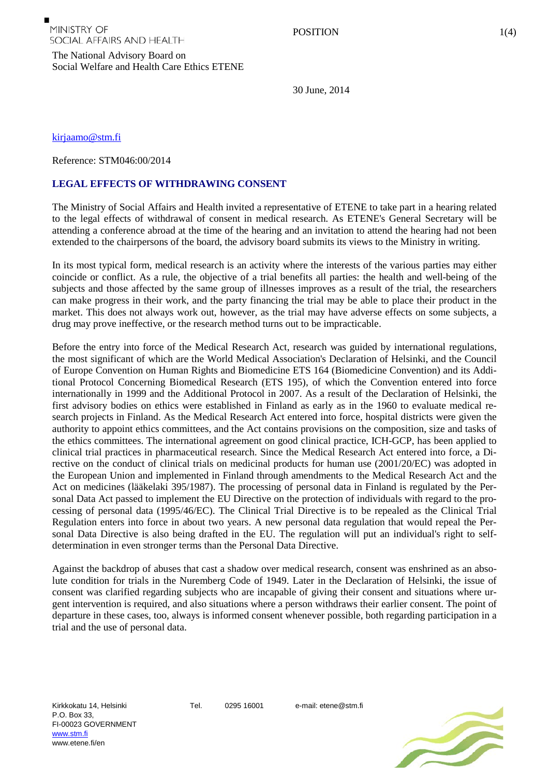The National Advisory Board on Social Welfare and Health Care Ethics ETENE

30 June, 2014

[kirjaamo@stm.fi](mailto:kirjaamo@stm.fi)

Reference: STM046:00/2014

## **LEGAL EFFECTS OF WITHDRAWING CONSENT**

The Ministry of Social Affairs and Health invited a representative of ETENE to take part in a hearing related to the legal effects of withdrawal of consent in medical research. As ETENE's General Secretary will be attending a conference abroad at the time of the hearing and an invitation to attend the hearing had not been extended to the chairpersons of the board, the advisory board submits its views to the Ministry in writing.

In its most typical form, medical research is an activity where the interests of the various parties may either coincide or conflict. As a rule, the objective of a trial benefits all parties: the health and well-being of the subjects and those affected by the same group of illnesses improves as a result of the trial, the researchers can make progress in their work, and the party financing the trial may be able to place their product in the market. This does not always work out, however, as the trial may have adverse effects on some subjects, a drug may prove ineffective, or the research method turns out to be impracticable.

Before the entry into force of the Medical Research Act, research was guided by international regulations, the most significant of which are the World Medical Association's Declaration of Helsinki, and the Council of Europe Convention on Human Rights and Biomedicine ETS 164 (Biomedicine Convention) and its Additional Protocol Concerning Biomedical Research (ETS 195), of which the Convention entered into force internationally in 1999 and the Additional Protocol in 2007. As a result of the Declaration of Helsinki, the first advisory bodies on ethics were established in Finland as early as in the 1960 to evaluate medical research projects in Finland. As the Medical Research Act entered into force, hospital districts were given the authority to appoint ethics committees, and the Act contains provisions on the composition, size and tasks of the ethics committees. The international agreement on good clinical practice, ICH-GCP, has been applied to clinical trial practices in pharmaceutical research. Since the Medical Research Act entered into force, a Directive on the conduct of clinical trials on medicinal products for human use (2001/20/EC) was adopted in the European Union and implemented in Finland through amendments to the Medical Research Act and the Act on medicines (lääkelaki 395/1987). The processing of personal data in Finland is regulated by the Personal Data Act passed to implement the EU Directive on the protection of individuals with regard to the processing of personal data (1995/46/EC). The Clinical Trial Directive is to be repealed as the Clinical Trial Regulation enters into force in about two years. A new personal data regulation that would repeal the Personal Data Directive is also being drafted in the EU. The regulation will put an individual's right to selfdetermination in even stronger terms than the Personal Data Directive.

Against the backdrop of abuses that cast a shadow over medical research, consent was enshrined as an absolute condition for trials in the Nuremberg Code of 1949. Later in the Declaration of Helsinki, the issue of consent was clarified regarding subjects who are incapable of giving their consent and situations where urgent intervention is required, and also situations where a person withdraws their earlier consent. The point of departure in these cases, too, always is informed consent whenever possible, both regarding participation in a trial and the use of personal data.

Kirkkokatu 14, Helsinki P.O. Box 33, FI-00023 GOVERNMENT [www.stm.fi](http://www.stm.fi/) www.etene.fi/en

Tel. 0295 16001 e-mail: etene@stm.fi

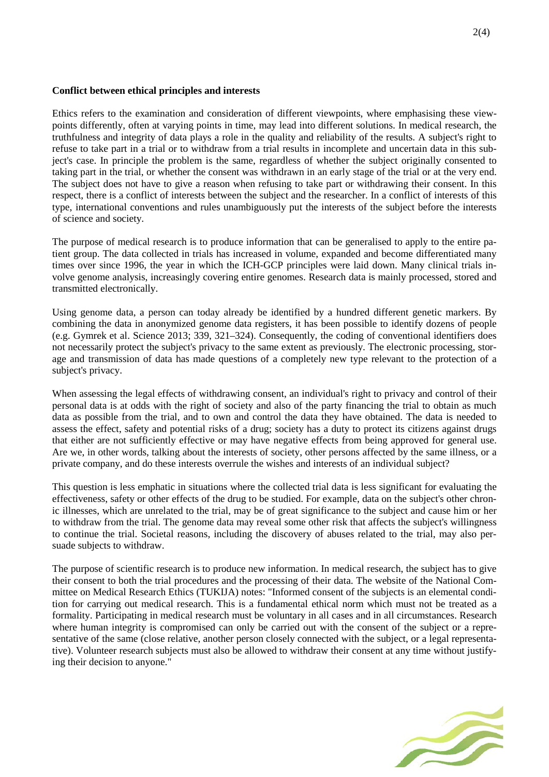## **Conflict between ethical principles and interests**

Ethics refers to the examination and consideration of different viewpoints, where emphasising these viewpoints differently, often at varying points in time, may lead into different solutions. In medical research, the truthfulness and integrity of data plays a role in the quality and reliability of the results. A subject's right to refuse to take part in a trial or to withdraw from a trial results in incomplete and uncertain data in this subject's case. In principle the problem is the same, regardless of whether the subject originally consented to taking part in the trial, or whether the consent was withdrawn in an early stage of the trial or at the very end. The subject does not have to give a reason when refusing to take part or withdrawing their consent. In this respect, there is a conflict of interests between the subject and the researcher. In a conflict of interests of this type, international conventions and rules unambiguously put the interests of the subject before the interests of science and society.

The purpose of medical research is to produce information that can be generalised to apply to the entire patient group. The data collected in trials has increased in volume, expanded and become differentiated many times over since 1996, the year in which the ICH-GCP principles were laid down. Many clinical trials involve genome analysis, increasingly covering entire genomes. Research data is mainly processed, stored and transmitted electronically.

Using genome data, a person can today already be identified by a hundred different genetic markers. By combining the data in anonymized genome data registers, it has been possible to identify dozens of people (e.g. Gymrek et al. Science 2013; 339, 321–324). Consequently, the coding of conventional identifiers does not necessarily protect the subject's privacy to the same extent as previously. The electronic processing, storage and transmission of data has made questions of a completely new type relevant to the protection of a subject's privacy.

When assessing the legal effects of withdrawing consent, an individual's right to privacy and control of their personal data is at odds with the right of society and also of the party financing the trial to obtain as much data as possible from the trial, and to own and control the data they have obtained. The data is needed to assess the effect, safety and potential risks of a drug; society has a duty to protect its citizens against drugs that either are not sufficiently effective or may have negative effects from being approved for general use. Are we, in other words, talking about the interests of society, other persons affected by the same illness, or a private company, and do these interests overrule the wishes and interests of an individual subject?

This question is less emphatic in situations where the collected trial data is less significant for evaluating the effectiveness, safety or other effects of the drug to be studied. For example, data on the subject's other chronic illnesses, which are unrelated to the trial, may be of great significance to the subject and cause him or her to withdraw from the trial. The genome data may reveal some other risk that affects the subject's willingness to continue the trial. Societal reasons, including the discovery of abuses related to the trial, may also persuade subjects to withdraw.

The purpose of scientific research is to produce new information. In medical research, the subject has to give their consent to both the trial procedures and the processing of their data. The website of the National Committee on Medical Research Ethics (TUKIJA) notes: "Informed consent of the subjects is an elemental condition for carrying out medical research. This is a fundamental ethical norm which must not be treated as a formality. Participating in medical research must be voluntary in all cases and in all circumstances. Research where human integrity is compromised can only be carried out with the consent of the subject or a representative of the same (close relative, another person closely connected with the subject, or a legal representative). Volunteer research subjects must also be allowed to withdraw their consent at any time without justifying their decision to anyone."

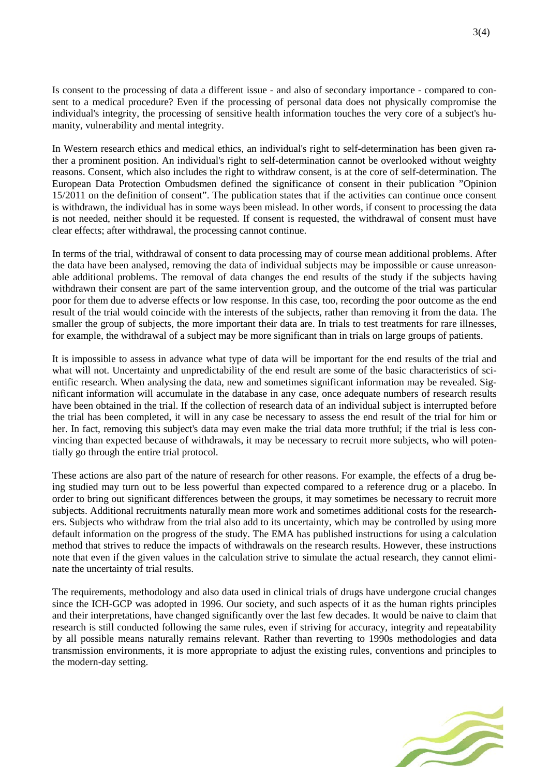Is consent to the processing of data a different issue - and also of secondary importance - compared to consent to a medical procedure? Even if the processing of personal data does not physically compromise the individual's integrity, the processing of sensitive health information touches the very core of a subject's humanity, vulnerability and mental integrity.

In Western research ethics and medical ethics, an individual's right to self-determination has been given rather a prominent position. An individual's right to self-determination cannot be overlooked without weighty reasons. Consent, which also includes the right to withdraw consent, is at the core of self-determination. The European Data Protection Ombudsmen defined the significance of consent in their publication "Opinion 15/2011 on the definition of consent". The publication states that if the activities can continue once consent is withdrawn, the individual has in some ways been mislead. In other words, if consent to processing the data is not needed, neither should it be requested. If consent is requested, the withdrawal of consent must have clear effects; after withdrawal, the processing cannot continue.

In terms of the trial, withdrawal of consent to data processing may of course mean additional problems. After the data have been analysed, removing the data of individual subjects may be impossible or cause unreasonable additional problems. The removal of data changes the end results of the study if the subjects having withdrawn their consent are part of the same intervention group, and the outcome of the trial was particular poor for them due to adverse effects or low response. In this case, too, recording the poor outcome as the end result of the trial would coincide with the interests of the subjects, rather than removing it from the data. The smaller the group of subjects, the more important their data are. In trials to test treatments for rare illnesses, for example, the withdrawal of a subject may be more significant than in trials on large groups of patients.

It is impossible to assess in advance what type of data will be important for the end results of the trial and what will not. Uncertainty and unpredictability of the end result are some of the basic characteristics of scientific research. When analysing the data, new and sometimes significant information may be revealed. Significant information will accumulate in the database in any case, once adequate numbers of research results have been obtained in the trial. If the collection of research data of an individual subject is interrupted before the trial has been completed, it will in any case be necessary to assess the end result of the trial for him or her. In fact, removing this subject's data may even make the trial data more truthful; if the trial is less convincing than expected because of withdrawals, it may be necessary to recruit more subjects, who will potentially go through the entire trial protocol.

These actions are also part of the nature of research for other reasons. For example, the effects of a drug being studied may turn out to be less powerful than expected compared to a reference drug or a placebo. In order to bring out significant differences between the groups, it may sometimes be necessary to recruit more subjects. Additional recruitments naturally mean more work and sometimes additional costs for the researchers. Subjects who withdraw from the trial also add to its uncertainty, which may be controlled by using more default information on the progress of the study. The EMA has published instructions for using a calculation method that strives to reduce the impacts of withdrawals on the research results. However, these instructions note that even if the given values in the calculation strive to simulate the actual research, they cannot eliminate the uncertainty of trial results.

The requirements, methodology and also data used in clinical trials of drugs have undergone crucial changes since the ICH-GCP was adopted in 1996. Our society, and such aspects of it as the human rights principles and their interpretations, have changed significantly over the last few decades. It would be naive to claim that research is still conducted following the same rules, even if striving for accuracy, integrity and repeatability by all possible means naturally remains relevant. Rather than reverting to 1990s methodologies and data transmission environments, it is more appropriate to adjust the existing rules, conventions and principles to the modern-day setting.

3(4)